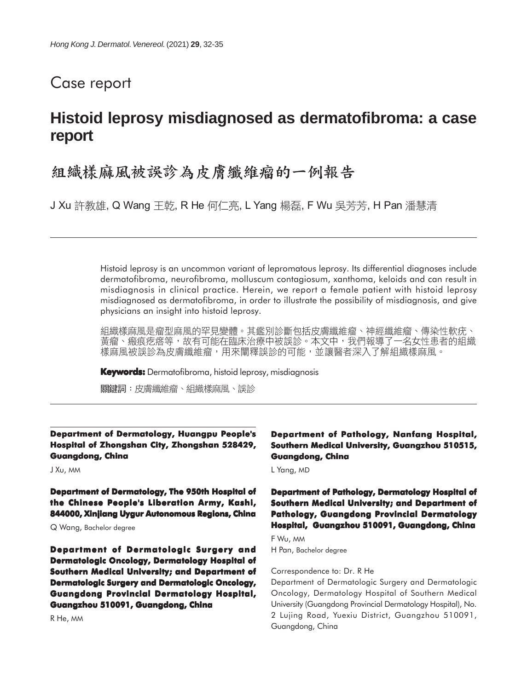# Case report

# **Histoid leprosy misdiagnosed as dermatofibroma: a case report**

# 組織樣麻風被誤診為皮膚纖維瘤的一例報告

J Xu 許教雄, Q Wang 王乾, R He 何仁亮, L Yang 楊磊, F Wu 吳芳芳, H Pan 潘慧清

Histoid leprosy is an uncommon variant of lepromatous leprosy. Its differential diagnoses include dermatofibroma, neurofibroma, molluscum contagiosum, xanthoma, keloids and can result in misdiagnosis in clinical practice. Herein, we report a female patient with histoid leprosy misdiagnosed as dermatofibroma, in order to illustrate the possibility of misdiagnosis, and give physicians an insight into histoid leprosy.

組織樣麻風是瘤型麻風的罕見變體。其鑑別診斷包括皮膚纖維瘤、神經纖維瘤、傳染性軟疣、 黃瘤、瘢痕疙瘩等,故有可能在臨床治療中被誤診。本文中,我們報導了一名女性患者的組織 樣麻風被誤診為皮膚纖維瘤,用來闡釋誤診的可能,並讓醫者深入了解組織樣麻風。

**Keywords:** Dermatofibroma, histoid leprosy, misdiagnosis

關鍵詞:皮膚纖維瘤、組織樣麻風、誤診

#### **Department of Dermatology, Huangpu People's Hospital of Zhongshan City, Zhongshan 528429, Guangdong, China**

J Xu, MM

**Department of Dermatology, The 950th Hospital of the Chinese People's Liberation Army, Kashi, 844000, Xinjiang Uygur Autonomous Regions, China**

Q Wang, Bachelor degree

**Department of Dermatologic Surgery and Dermatologic Oncology, Dermatology Hospital of Southern Medical University; and Department of Dermatologic Surgery and Dermatologic Oncology, Guangdong Provincial Dermatology Hospital, Guangzhou 510091, Guangdong, China**

R He, MM

#### **Department of Pathology, Nanfang Hospital, Southern Medical University, Guangzhou 510515, Guangdong, China**

L Yang, MD

#### **Department of Pathology, Dermatology Hospital of Southern Medical University; and Department of Pathology, Guangdong Provincial Dermatology Hospital, Guangzhou 510091, Guangdong, China**

F Wu, MM

H Pan, Bachelor degree

#### Correspondence to: Dr. R He

Department of Dermatologic Surgery and Dermatologic Oncology, Dermatology Hospital of Southern Medical University (Guangdong Provincial Dermatology Hospital), No. 2 Lujing Road, Yuexiu District, Guangzhou 510091, Guangdong, China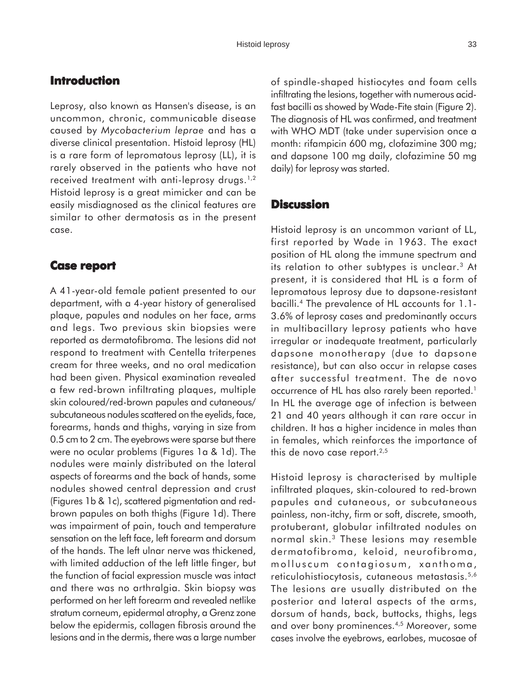## **Introduction**

Leprosy, also known as Hansen's disease, is an uncommon, chronic, communicable disease caused by *Mycobacterium leprae* and has a diverse clinical presentation. Histoid leprosy (HL) is a rare form of lepromatous leprosy (LL), it is rarely observed in the patients who have not received treatment with anti-leprosy drugs.<sup>1,2</sup> Histoid leprosy is a great mimicker and can be easily misdiagnosed as the clinical features are similar to other dermatosis as in the present case.

### **Case report Case**

A 41-year-old female patient presented to our department, with a 4-year history of generalised plaque, papules and nodules on her face, arms and legs. Two previous skin biopsies were reported as dermatofibroma. The lesions did not respond to treatment with Centella triterpenes cream for three weeks, and no oral medication had been given. Physical examination revealed a few red-brown infiltrating plaques, multiple skin coloured/red-brown papules and cutaneous/ subcutaneous nodules scattered on the eyelids, face, forearms, hands and thighs, varying in size from 0.5 cm to 2 cm. The eyebrows were sparse but there were no ocular problems (Figures 1a & 1d). The nodules were mainly distributed on the lateral aspects of forearms and the back of hands, some nodules showed central depression and crust (Figures 1b & 1c), scattered pigmentation and redbrown papules on both thighs (Figure 1d). There was impairment of pain, touch and temperature sensation on the left face, left forearm and dorsum of the hands. The left ulnar nerve was thickened, with limited adduction of the left little finger, but the function of facial expression muscle was intact and there was no arthralgia. Skin biopsy was performed on her left forearm and revealed netlike stratum corneum, epidermal atrophy, a Grenz zone below the epidermis, collagen fibrosis around the lesions and in the dermis, there was a large number of spindle-shaped histiocytes and foam cells infiltrating the lesions, together with numerous acidfast bacilli as showed by Wade-Fite stain (Figure 2). The diagnosis of HL was confirmed, and treatment with WHO MDT (take under supervision once a month: rifampicin 600 mg, clofazimine 300 mg; and dapsone 100 mg daily, clofazimine 50 mg daily) for leprosy was started.

## **Discussion**

Histoid leprosy is an uncommon variant of LL, first reported by Wade in 1963. The exact position of HL along the immune spectrum and its relation to other subtypes is unclear.3 At present, it is considered that HL is a form of lepromatous leprosy due to dapsone-resistant bacilli.4 The prevalence of HL accounts for 1.1- 3.6% of leprosy cases and predominantly occurs in multibacillary leprosy patients who have irregular or inadequate treatment, particularly dapsone monotherapy (due to dapsone resistance), but can also occur in relapse cases after successful treatment. The de novo occurrence of HL has also rarely been reported.<sup>1</sup> In HL the average age of infection is between 21 and 40 years although it can rare occur in children. It has a higher incidence in males than in females, which reinforces the importance of this de novo case report.<sup>2,5</sup>

Histoid leprosy is characterised by multiple infiltrated plaques, skin-coloured to red-brown papules and cutaneous, or subcutaneous painless, non-itchy, firm or soft, discrete, smooth, protuberant, globular infiltrated nodules on normal skin.3 These lesions may resemble dermatofibroma, keloid, neurofibroma, molluscum contagiosum, xanthoma, reticulohistiocytosis, cutaneous metastasis.<sup>5,6</sup> The lesions are usually distributed on the posterior and lateral aspects of the arms, dorsum of hands, back, buttocks, thighs, legs and over bony prominences.4,5 Moreover, some cases involve the eyebrows, earlobes, mucosae of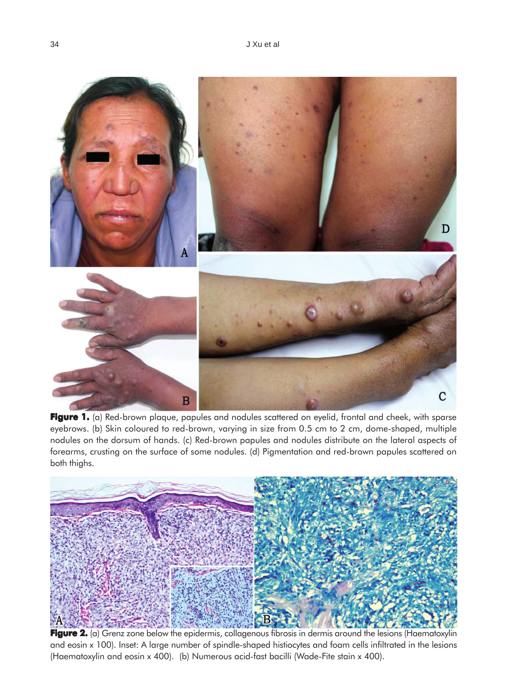

Figure 1. (a) Red-brown plaque, papules and nodules scattered on eyelid, frontal and cheek, with sparse eyebrows. (b) Skin coloured to red-brown, varying in size from 0.5 cm to 2 cm, dome-shaped, multiple nodules on the dorsum of hands. (c) Red-brown papules and nodules distribute on the lateral aspects of forearms, crusting on the surface of some nodules. (d) Pigmentation and red-brown papules scattered on both thighs.



**Figure 2.** (a) Grenz zone below the epidermis, collagenous fibrosis in dermis around the lesions (Haematoxylin and eosin x 100). Inset: A large number of spindle-shaped histiocytes and foam cells infiltrated in the lesions (Haematoxylin and eosin x 400). (b) Numerous acid-fast bacilli (Wade-Fite stain x 400).